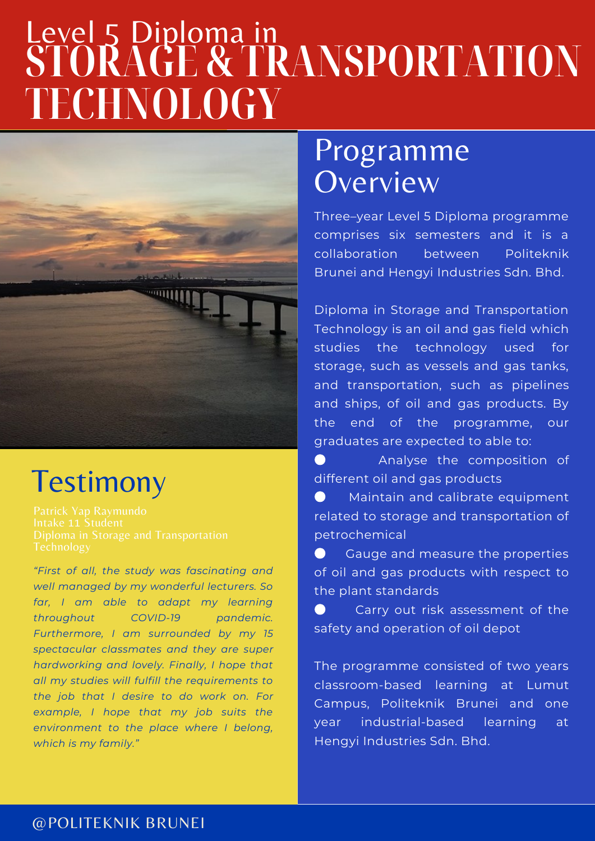# **STORAGE & TRANSPORTATION TECHNOLOGY** Level 5 Diploma in



### **Testimony**

*"First of all, the study was fascinating and well managed by my wonderful lecturers. So far, I am able to adapt my learning throughout COVID-19 pandemic. Furthermore, I am surrounded by my 15 spectacular classmates and they are super hardworking and lovely. Finally, I hope that all my studies will fulfill the requirements to the job that I desire to do work on. For example, I hope that my job suits the environment to the place where I belong, which is my family."*

### Programme **Overview**

Three–year Level 5 Diploma programme comprises six semesters and it is a collaboration between Politeknik Brunei and Hengyi Industries Sdn. Bhd.

Diploma in Storage and Transportation Technology is an oil and gas field which studies the technology used for storage, such as vessels and gas tanks, and transportation, such as pipelines and ships, of oil and gas products. By the end of the programme, our graduates are expected to able to:

Analyse the composition of different oil and gas products

**•** Maintain and calibrate equipment related to storage and transportation of petrochemical

● Gauge and measure the properties of oil and gas products with respect to the plant standards

Carry out risk assessment of the safety and operation of oil depot

The programme consisted of two years classroom-based learning at Lumut Campus, Politeknik Brunei and one year industrial-based learning at Hengyi Industries Sdn. Bhd.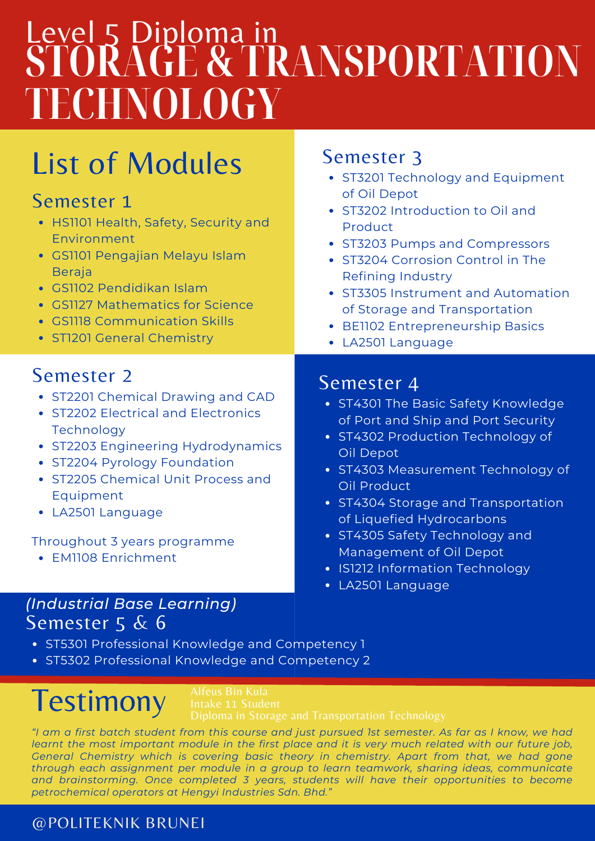# Level 5 Diploma in **STORAGE & TRANSPORTATION TECHNOLOGY**

### List of Modules

### Semester 1

- HS1101 Health, Safety, Security and Environment
- GS1101 Pengajian Melayu Islam Beraja
- GS1102 Pendidikan Islam
- GS1127 Mathematics for Science
- GS1118 Communication Skills
- ST1201 General Chemistry

### Semester 2

- ST2201 Chemical Drawing and CAD
- ST2202 Electrical and Electronics **Technology**
- ST2203 Engineering Hydrodynamics
- ST2204 Pyrology Foundation
- ST2205 Chemical Unit Process and Equipment
- LA2501 Language

#### Throughout 3 years programme

• FM1108 Enrichment

#### Semester 5 & 6 *(Industrial Base Learning)*

- ST5301 Professional Knowledge and Competency 1
- ST5302 Professional Knowledge and Competency 2

## **Testimony**

"I am a first batch student from this course and just pursued 1st semester. As far as I know, we had learnt the most important module in the first place and it is very much related with our future job, *General Chemistry which is covering basic theory in chemistry. Apart from that, we had gone through each assignment per module in a group to learn teamwork, sharing ideas, communicate and brainstorming. Once completed 3 years, students will have their opportunities to become petrochemical operators at Hengyi Industries Sdn. Bhd."*

#### @POLITEKNIK BRUNEI

### Semester 3

- ST3201 Technology and Equipment of Oil Depot
- ST3202 Introduction to Oil and Product
- ST3203 Pumps and Compressors
- ST3204 Corrosion Control in The Refining Industry
- ST3305 Instrument and Automation of Storage and Transportation
- BE1102 Entrepreneurship Basics
- LA2501 Language

### Semester 4

- ST4301 The Basic Safety Knowledge of Port and Ship and Port Security
- ST4302 Production Technology of Oil Depot
- ST4303 Measurement Technology of Oil Product
- ST4304 Storage and Transportation of Liquefied Hydrocarbons
- ST4305 Safety Technology and Management of Oil Depot
- IS1212 Information Technology
- LA2501 Language